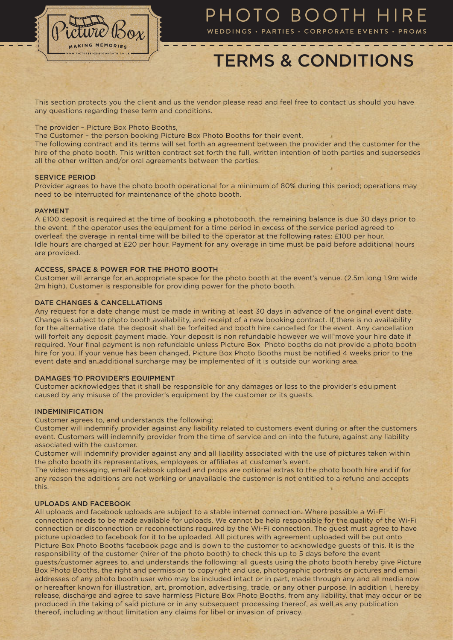

# PHOTO BOOTH HIRE

WEDDINGS · PARTIES · CORPORATE EVENTS · PROMS

# TERMS & CONDITIONS

This section protects you the client and us the vendor please read and feel free to contact us should you have any questions regarding these term and conditions.

## The provider – Picture Box Photo Booths,

The Customer – the person booking Picture Box Photo Booths for their event.

The following contract and its terms will set forth an agreement between the provider and the customer for the hire of the photo booth. This written contract set forth the full, written intention of both parties and supersedes all the other written and/or oral agreements between the parties.

### SERVICE PERIOD

Provider agrees to have the photo booth operational for a minimum of 80% during this period; operations may need to be interrupted for maintenance of the photo booth.

## PAYMENT

A £100 deposit is required at the time of booking a photobooth, the remaining balance is due 30 days prior to the event. If the operator uses the equipment for a time period in excess of the service period agreed to overleaf, the overage in rental time will be billed to the operator at the following rates: £100 per hour. Idle hours are charged at £20 per hour. Payment for any overage in time must be paid before additional hours are provided.

# ACCESS, SPACE & POWER FOR THE PHOTO BOOTH

Customer will arrange for an appropriate space for the photo booth at the event's venue. (2.5m long 1.9m wide 2m high). Customer is responsible for providing power for the photo booth.

## DATE CHANGES & CANCELLATIONS

Any request for a date change must be made in writing at least 30 days in advance of the original event date. Change is subject to photo booth availability, and receipt of a new booking contract. If there is no availability for the alternative date, the deposit shall be forfeited and booth hire cancelled for the event. Any cancellation will forfeit any deposit payment made. Your deposit is non refundable however we will move your hire date if required. Your final payment is non refundable unless Picture Box Photo booths do not provide a photo booth hire for you. If your venue has been changed, Picture Box Photo Booths must be notified 4 weeks prior to the event date and an additional surcharge may be implemented of it is outside our working area.

## DAMAGES TO PROVIDER'S EQUIPMENT

Customer acknowledges that it shall be responsible for any damages or loss to the provider's equipment caused by any misuse of the provider's equipment by the customer or its guests.

### INDEMINIFICATION

Customer agrees to, and understands the following:

Customer will indemnify provider against any liability related to customers event during or after the customers event. Customers will indemnify provider from the time of service and on into the future, against any liability associated with the customer.

Customer will indemnify provider against any and all liability associated with the use of pictures taken within the photo booth its representatives, employees or affiliates at customer's event.

The video messaging, email facebook upload and props are optional extras to the photo booth hire and if for any reason the additions are not working or unavailable the customer is not entitled to a refund and accepts this.

# UPLOADS AND FACEBOOK

All uploads and facebook uploads are subject to a stable internet connection. Where possible a Wi-Fi connection needs to be made available for uploads. We cannot be help responsible for the quality of the Wi-Fi connection or disconnection or reconnections required by the Wi-Fi connection. The guest must agree to have picture uploaded to facebook for it to be uploaded. All pictures with agreement uploaded will be put onto Picture Box Photo Booths facebook page and is down to the customer to acknowledge guests of this. It is the responsibility of the customer (hirer of the photo booth) to check this up to 5 days before the event guests/customer agrees to, and understands the following: all guests using the photo booth hereby give Picture Box Photo Booths, the right and permission to copyright and use, photographic portraits or pictures and email addresses of any photo booth user who may be included intact or in part, made through any and all media now or hereafter known for illustration, art, promotion, advertising, trade, or any other purpose. In addition I, hereby release, discharge and agree to save harmless Picture Box Photo Booths, from any liability, that may occur or be produced in the taking of said picture or in any subsequent processing thereof, as well as any publication thereof, including without limitation any claims for libel or invasion of privacy.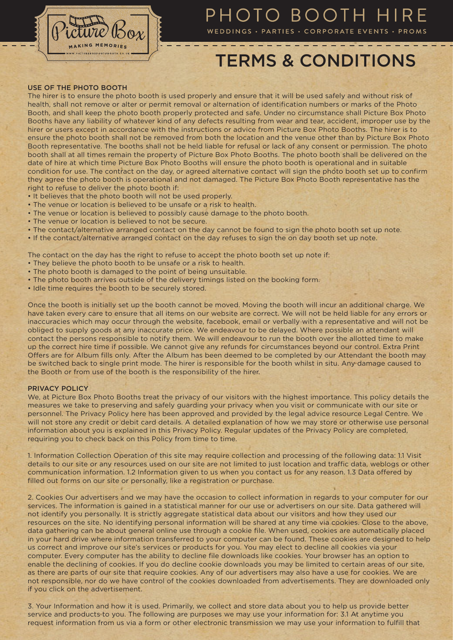

# PHOTO BOOTH HIRE

WEDDINGS · PARTIES · CORPORATE EVENTS · PROMS

# TERMS & CONDITIONS

USE OF THE PHOTO BOOTH

The hirer is to ensure the photo booth is used properly and ensure that it will be used safely and without risk of health, shall not remove or alter or permit removal or alternation of identification numbers or marks of the Photo Booth, and shall keep the photo booth properly protected and safe. Under no circumstance shall Picture Box Photo Booths have any liability of whatever kind of any defects resulting from wear and tear, accident, improper use by the hirer or users except in accordance with the instructions or advice from Picture Box Photo Booths. The hirer is to ensure the photo booth shall not be removed from both the location and the venue other than by Picture Box Photo Booth representative. The booths shall not be held liable for refusal or lack of any consent or permission. The photo booth shall at all times remain the property of Picture Box Photo Booths. The photo booth shall be delivered on the date of hire at which time Picture Box Photo Booths will ensure the photo booth is operational and in suitable condition for use. The contract on the day, or agreed alternative contact will sign the photo booth set up to confirm they agree the photo booth is operational and not damaged. The Picture Box Photo Booth representative has the right to refuse to deliver the photo booth if:

- It believes that the photo booth will not be used properly.
- The venue or location is believed to be unsafe or a risk to health.
- The venue or location is believed to possibly cause damage to the photo booth.
- The venue or location is believed to not be secure.
- The contact/alternative arranged contact on the day cannot be found to sign the photo booth set up note.
- If the contact/alternative arranged contact on the day refuses to sign the on day booth set up note.

The contact on the day has the right to refuse to accept the photo booth set up note if:

- They believe the photo booth to be unsafe or a risk to health.
- The photo booth is damaged to the point of being unsuitable.
- The photo booth arrives outside of the delivery timings listed on the booking form.
- Idle time requires the booth to be securely stored.

Once the booth is initially set up the booth cannot be moved. Moving the booth will incur an additional charge. We have taken every care to ensure that all items on our website are correct. We will not be held liable for any errors or inaccuracies which may occur through the website, facebook, email or verbally with a representative and will not be obliged to supply goods at any inaccurate price. We endeavour to be delayed. Where possible an attendant will contact the persons responsible to notify them. We will endeavour to run the booth over the allotted time to make up the correct hire time if possible. We cannot give any refunds for circumstances beyond our control. Extra Print Offers are for Album fills only. After the Album has been deemed to be completed by our Attendant the booth may be switched back to single print mode. The hirer is responsible for the booth whilst in situ. Any damage caused to the Booth or from use of the booth is the responsibility of the hirer.

### PRIVACY POLICY

We, at Picture Box Photo Booths treat the privacy of our visitors with the highest importance. This policy details the measures we take to preserving and safely guarding your privacy when you visit or communicate with our site or personnel. The Privacy Policy here has been approved and provided by the legal advice resource Legal Centre. We will not store any credit or debit card details. A detailed explanation of how we may store or otherwise use personal information about you is explained in this Privacy Policy. Regular updates of the Privacy Policy are completed, requiring you to check back on this Policy from time to time.

1. Information Collection Operation of this site may require collection and processing of the following data: 1.1 Visit details to our site or any resources used on our site are not limited to just location and traffic data, weblogs or other communication information. 1.2 Information given to us when you contact us for any reason. 1.3 Data offered by filled out forms on our site or personally, like a registration or purchase.

2. Cookies Our advertisers and we may have the occasion to collect information in regards to your computer for our services. The information is gained in a statistical manner for our use or advertisers on our site. Data gathered will not identify you personally. It is strictly aggregate statistical data about our visitors and how they used our resources on the site. No identifying personal information will be shared at any time via cookies. Close to the above, data gathering can be about general online use through a cookie file. When used, cookies are automatically placed in your hard drive where information transferred to your computer can be found. These cookies are designed to help us correct and improve our site's services or products for you. You may elect to decline all cookies via your computer. Every computer has the ability to decline file downloads like cookies. Your browser has an option to enable the declining of cookies. If you do decline cookie downloads you may be limited to certain areas of our site, as there are parts of our site that require cookies. Any of our advertisers may also have a use for cookies. We are not responsible, nor do we have control of the cookies downloaded from advertisements. They are downloaded only if you click on the advertisement.

3. Your Information and how it is used. Primarily, we collect and store data about you to help us provide better service and products to you. The following are purposes we may use your information for: 3.1 At anytime you request information from us via a form or other electronic transmission we may use your information to fulfill that